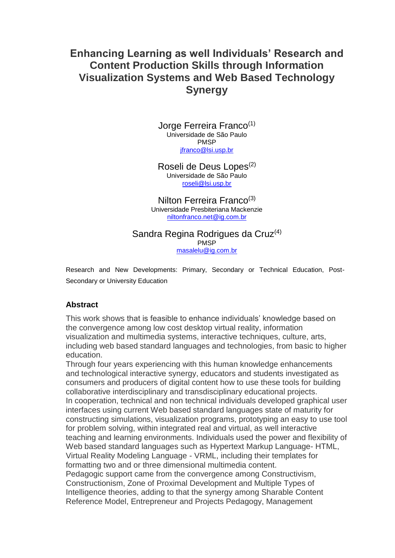# **Enhancing Learning as well Individuals' Research and Content Production Skills through Information Visualization Systems and Web Based Technology Synergy**

Jorge Ferreira Franco<sup>(1)</sup> Universidade de São Paulo PMSP [jfranco@lsi.usp.br](mailto:jfranco@lsi.usp.br)

Roseli de Deus Lopes<sup>(2)</sup> Universidade de São Paulo [roseli@lsi.usp.br](mailto:roseli@lsi.usp.br)

Nilton Ferreira Franco<sup>(3)</sup> Universidade Presbiteriana Mackenzie [niltonfranco.net@ig.com.br](mailto:niltonfranco.net@ig.com.br)

## Sandra Regina Rodrigues da Cruz<sup>(4)</sup>

PMSP [masalelu@ig.com.br](mailto:masalelu@ig.com.br)

Research and New Developments: Primary, Secondary or Technical Education, Post-Secondary or University Education

#### **Abstract**

This work shows that is feasible to enhance individuals' knowledge based on the convergence among low cost desktop virtual reality, information visualization and multimedia systems, interactive techniques, culture, arts, including web based standard languages and technologies, from basic to higher education.

Through four years experiencing with this human knowledge enhancements and technological interactive synergy, educators and students investigated as consumers and producers of digital content how to use these tools for building collaborative interdisciplinary and transdisciplinary educational projects. In cooperation, technical and non technical individuals developed graphical user interfaces using current Web based standard languages state of maturity for constructing simulations, visualization programs, prototyping an easy to use tool for problem solving, within integrated real and virtual, as well interactive teaching and learning environments. Individuals used the power and flexibility of Web based standard languages such as Hypertext Markup Language- HTML, Virtual Reality Modeling Language - VRML, including their templates for formatting two and or three dimensional multimedia content. Pedagogic support came from the convergence among Constructivism, Constructionism, Zone of Proximal Development and Multiple Types of

Intelligence theories, adding to that the synergy among Sharable Content Reference Model, Entrepreneur and Projects Pedagogy, Management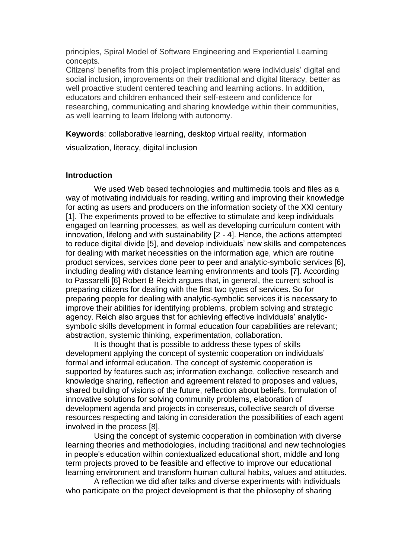principles, Spiral Model of Software Engineering and Experiential Learning concepts.

Citizens' benefits from this project implementation were individuals' digital and social inclusion, improvements on their traditional and digital literacy, better as well proactive student centered teaching and learning actions. In addition, educators and children enhanced their self-esteem and confidence for researching, communicating and sharing knowledge within their communities, as well learning to learn lifelong with autonomy.

**Keywords**: collaborative learning, desktop virtual reality, information

visualization, literacy, digital inclusion

## **Introduction**

We used Web based technologies and multimedia tools and files as a way of motivating individuals for reading, writing and improving their knowledge for acting as users and producers on the information society of the XXI century [1]. The experiments proved to be effective to stimulate and keep individuals engaged on learning processes, as well as developing curriculum content with innovation, lifelong and with sustainability [2 - 4]. Hence, the actions attempted to reduce digital divide [5], and develop individuals' new skills and competences for dealing with market necessities on the information age, which are routine product services, services done peer to peer and analytic-symbolic services [6], including dealing with distance learning environments and tools [7]. According to Passarelli [6] Robert B Reich argues that, in general, the current school is preparing citizens for dealing with the first two types of services. So for preparing people for dealing with analytic-symbolic services it is necessary to improve their abilities for identifying problems, problem solving and strategic agency. Reich also argues that for achieving effective individuals' analyticsymbolic skills development in formal education four capabilities are relevant; abstraction, systemic thinking, experimentation, collaboration.

It is thought that is possible to address these types of skills development applying the concept of systemic cooperation on individuals' formal and informal education. The concept of systemic cooperation is supported by features such as; information exchange, collective research and knowledge sharing, reflection and agreement related to proposes and values, shared building of visions of the future, reflection about beliefs, formulation of innovative solutions for solving community problems, elaboration of development agenda and projects in consensus, collective search of diverse resources respecting and taking in consideration the possibilities of each agent involved in the process [8].

Using the concept of systemic cooperation in combination with diverse learning theories and methodologies, including traditional and new technologies in people's education within contextualized educational short, middle and long term projects proved to be feasible and effective to improve our educational learning environment and transform human cultural habits, values and attitudes.

A reflection we did after talks and diverse experiments with individuals who participate on the project development is that the philosophy of sharing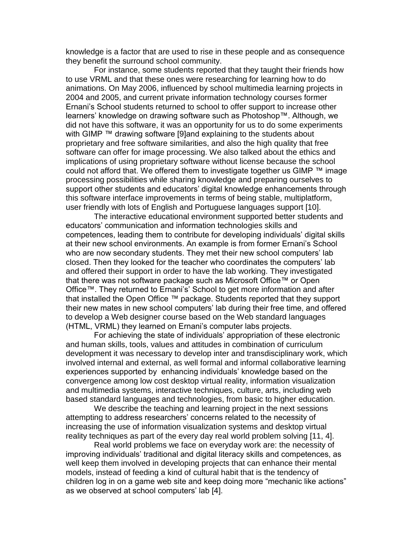knowledge is a factor that are used to rise in these people and as consequence they benefit the surround school community.

For instance, some students reported that they taught their friends how to use VRML and that these ones were researching for learning how to do animations. On May 2006, influenced by school multimedia learning projects in 2004 and 2005, and current private information technology courses former Ernani's School students returned to school to offer support to increase other learners' knowledge on drawing software such as Photoshop™. Although, we did not have this software, it was an opportunity for us to do some experiments with GIMP<sup>™</sup> drawing software [9]and explaining to the students about proprietary and free software similarities, and also the high quality that free software can offer for image processing. We also talked about the ethics and implications of using proprietary software without license because the school could not afford that. We offered them to investigate together us GIMP ™ image processing possibilities while sharing knowledge and preparing ourselves to support other students and educators' digital knowledge enhancements through this software interface improvements in terms of being stable, multiplatform, user friendly with lots of English and Portuguese languages support [10].

The interactive educational environment supported better students and educators' communication and information technologies skills and competences, leading them to contribute for developing individuals' digital skills at their new school environments. An example is from former Ernani's School who are now secondary students. They met their new school computers' lab closed. Then they looked for the teacher who coordinates the computers' lab and offered their support in order to have the lab working. They investigated that there was not software package such as Microsoft Office™ or Open Office™. They returned to Ernani's' School to get more information and after that installed the Open Office ™ package. Students reported that they support their new mates in new school computers' lab during their free time, and offered to develop a Web designer course based on the Web standard languages (HTML, VRML) they learned on Ernani's computer labs projects.

For achieving the state of individuals' appropriation of these electronic and human skills, tools, values and attitudes in combination of curriculum development it was necessary to develop inter and transdisciplinary work, which involved internal and external, as well formal and informal collaborative learning experiences supported by enhancing individuals' knowledge based on the convergence among low cost desktop virtual reality, information visualization and multimedia systems, interactive techniques, culture, arts, including web based standard languages and technologies, from basic to higher education.

We describe the teaching and learning project in the next sessions attempting to address researchers' concerns related to the necessity of increasing the use of information visualization systems and desktop virtual reality techniques as part of the every day real world problem solving [11, 4].

Real world problems we face on everyday work are: the necessity of improving individuals' traditional and digital literacy skills and competences, as well keep them involved in developing projects that can enhance their mental models, instead of feeding a kind of cultural habit that is the tendency of children log in on a game web site and keep doing more "mechanic like actions" as we observed at school computers' lab [4].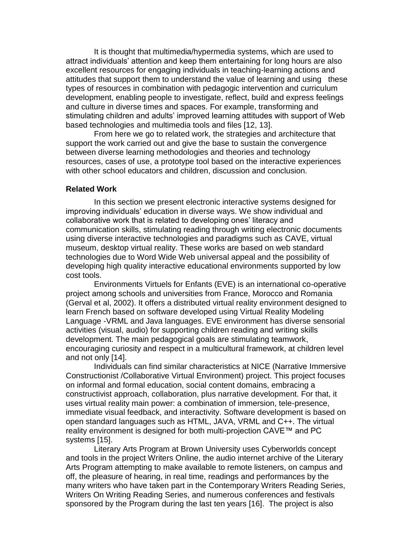It is thought that multimedia/hypermedia systems, which are used to attract individuals' attention and keep them entertaining for long hours are also excellent resources for engaging individuals in teaching-learning actions and attitudes that support them to understand the value of learning and using these types of resources in combination with pedagogic intervention and curriculum development, enabling people to investigate, reflect, build and express feelings and culture in diverse times and spaces. For example, transforming and stimulating children and adults' improved learning attitudes with support of Web based technologies and multimedia tools and files [12, 13].

From here we go to related work, the strategies and architecture that support the work carried out and give the base to sustain the convergence between diverse learning methodologies and theories and technology resources, cases of use, a prototype tool based on the interactive experiences with other school educators and children, discussion and conclusion.

#### **Related Work**

In this section we present electronic interactive systems designed for improving individuals' education in diverse ways. We show individual and collaborative work that is related to developing ones' literacy and communication skills, stimulating reading through writing electronic documents using diverse interactive technologies and paradigms such as CAVE, virtual museum, desktop virtual reality. These works are based on web standard technologies due to Word Wide Web universal appeal and the possibility of developing high quality interactive educational environments supported by low cost tools.

Environments Virtuels for Enfants (EVE) is an international co-operative project among schools and universities from France, Morocco and Romania (Gerval et al, 2002). It offers a distributed virtual reality environment designed to learn French based on software developed using Virtual Reality Modeling Language -VRML and Java languages. EVE environment has diverse sensorial activities (visual, audio) for supporting children reading and writing skills development. The main pedagogical goals are stimulating teamwork, encouraging curiosity and respect in a multicultural framework, at children level and not only [14].

Individuals can find similar characteristics at NICE (Narrative Immersive Constructionist /Collaborative Virtual Environment) project. This project focuses on informal and formal education, social content domains, embracing a constructivist approach, collaboration, plus narrative development. For that, it uses virtual reality main power: a combination of immersion, tele-presence, immediate visual feedback, and interactivity. Software development is based on open standard languages such as HTML, JAVA, VRML and C++. The virtual reality environment is designed for both multi-projection CAVE™ and PC systems [15].

Literary Arts Program at Brown University uses Cyberworlds concept and tools in the project Writers Online, the audio internet archive of the Literary Arts Program attempting to make available to remote listeners, on campus and off, the pleasure of hearing, in real time, readings and performances by the many writers who have taken part in the Contemporary Writers Reading Series, Writers On Writing Reading Series, and numerous conferences and festivals sponsored by the Program during the last ten years [16]. The project is also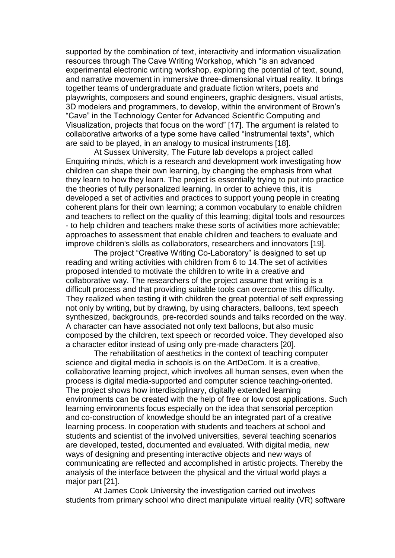supported by the combination of text, interactivity and information visualization resources through The Cave Writing Workshop, which "is an advanced experimental electronic writing workshop, exploring the potential of text, sound, and narrative movement in immersive three-dimensional virtual reality. It brings together teams of undergraduate and graduate fiction writers, poets and playwrights, composers and sound engineers, graphic designers, visual artists, 3D modelers and programmers, to develop, within the environment of Brown's "Cave" in the Technology Center for Advanced Scientific Computing and Visualization, projects that focus on the word" [17]. The argument is related to collaborative artworks of a type some have called "instrumental texts", which are said to be played, in an analogy to musical instruments [18].

At Sussex University, The Future lab develops a project called Enquiring minds, which is a research and development work investigating how children can shape their own learning, by changing the emphasis from what they learn to how they learn. The project is essentially trying to put into practice the theories of fully personalized learning. In order to achieve this, it is developed a set of activities and practices to support young people in creating coherent plans for their own learning; a common vocabulary to enable children and teachers to reflect on the quality of this learning; digital tools and resources - to help children and teachers make these sorts of activities more achievable; approaches to assessment that enable children and teachers to evaluate and improve children's skills as collaborators, researchers and innovators [19].

The project "Creative Writing Co-Laboratory" is designed to set up reading and writing activities with children from 6 to 14.The set of activities proposed intended to motivate the children to write in a creative and collaborative way. The researchers of the project assume that writing is a difficult process and that providing suitable tools can overcome this difficulty. They realized when testing it with children the great potential of self expressing not only by writing, but by drawing, by using characters, balloons, text speech synthesized, backgrounds, pre-recorded sounds and talks recorded on the way. A character can have associated not only text balloons, but also music composed by the children, text speech or recorded voice. They developed also a character editor instead of using only pre-made characters [20].

The rehabilitation of aesthetics in the context of teaching computer science and digital media in schools is on the ArtDeCom. It is a creative, collaborative learning project, which involves all human senses, even when the process is digital media-supported and computer science teaching-oriented. The project shows how interdisciplinary, digitally extended learning environments can be created with the help of free or low cost applications. Such learning environments focus especially on the idea that sensorial perception and co-construction of knowledge should be an integrated part of a creative learning process. In cooperation with students and teachers at school and students and scientist of the involved universities, several teaching scenarios are developed, tested, documented and evaluated. With digital media, new ways of designing and presenting interactive objects and new ways of communicating are reflected and accomplished in artistic projects. Thereby the analysis of the interface between the physical and the virtual world plays a major part [21].

At James Cook University the investigation carried out involves students from primary school who direct manipulate virtual reality (VR) software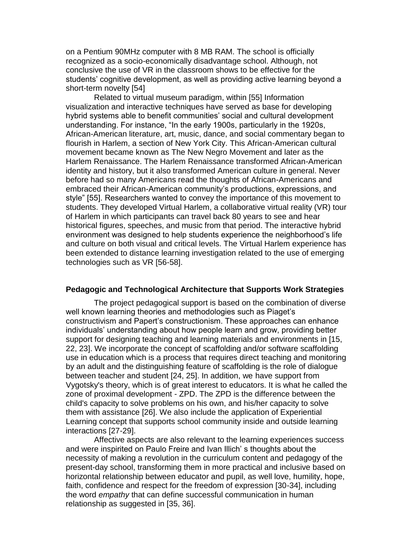on a Pentium 90MHz computer with 8 MB RAM. The school is officially recognized as a socio-economically disadvantage school. Although, not conclusive the use of VR in the classroom shows to be effective for the students' cognitive development, as well as providing active learning beyond a short-term novelty [54]

Related to virtual museum paradigm, within [55] Information visualization and interactive techniques have served as base for developing hybrid systems able to benefit communities' social and cultural development understanding. For instance, "In the early 1900s, particularly in the 1920s, African-American literature, art, music, dance, and social commentary began to flourish in Harlem, a section of New York City. This African-American cultural movement became known as The New Negro Movement and later as the Harlem Renaissance. The Harlem Renaissance transformed African-American identity and history, but it also transformed American culture in general. Never before had so many Americans read the thoughts of African-Americans and embraced their African-American community's productions, expressions, and style" [55]. Researchers wanted to convey the importance of this movement to students. They developed Virtual Harlem, a collaborative virtual reality (VR) tour of Harlem in which participants can travel back 80 years to see and hear historical figures, speeches, and music from that period. The interactive hybrid environment was designed to help students experience the neighborhood's life and culture on both visual and critical levels. The Virtual Harlem experience has been extended to distance learning investigation related to the use of emerging technologies such as VR [56-58].

#### **Pedagogic and Technological Architecture that Supports Work Strategies**

The project pedagogical support is based on the combination of diverse well known learning theories and methodologies such as Piaget's constructivism and Papert's constructionism. These approaches can enhance individuals' understanding about how people learn and grow, providing better support for designing teaching and learning materials and environments in [15, 22, 23]. We incorporate the concept of scaffolding and/or software scaffolding use in education which is a process that requires direct teaching and monitoring by an adult and the distinguishing feature of scaffolding is the role of dialogue between teacher and student [24, 25]. In addition, we have support from Vygotsky's theory, which is of great interest to educators. It is what he called the zone of proximal development - ZPD. The ZPD is the difference between the child's capacity to solve problems on his own, and his/her capacity to solve them with assistance [26]. We also include the application of Experiential Learning concept that supports school community inside and outside learning interactions [27-29].

Affective aspects are also relevant to the learning experiences success and were inspirited on Paulo Freire and Ivan Illich' s thoughts about the necessity of making a revolution in the curriculum content and pedagogy of the present-day school, transforming them in more practical and inclusive based on horizontal relationship between educator and pupil, as well love, humility, hope, faith, confidence and respect for the freedom of expression [30-34], including the word *empathy* that can define successful communication in human relationship as suggested in [35, 36].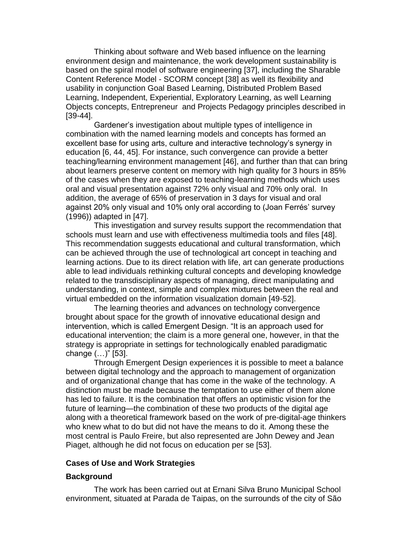Thinking about software and Web based influence on the learning environment design and maintenance, the work development sustainability is based on the spiral model of software engineering [37], including the Sharable Content Reference Model - SCORM concept [38] as well its flexibility and usability in conjunction Goal Based Learning, Distributed Problem Based Learning, Independent, Experiential, Exploratory Learning, as well Learning Objects concepts, Entrepreneur and Projects Pedagogy principles described in [39-44].

Gardener's investigation about multiple types of intelligence in combination with the named learning models and concepts has formed an excellent base for using arts, culture and interactive technology's synergy in education [6, 44, 45]. For instance, such convergence can provide a better teaching/learning environment management [46], and further than that can bring about learners preserve content on memory with high quality for 3 hours in 85% of the cases when they are exposed to teaching-learning methods which uses oral and visual presentation against 72% only visual and 70% only oral. In addition, the average of 65% of preservation in 3 days for visual and oral against 20% only visual and 10% only oral according to (Joan Ferrés' survey (1996)) adapted in [47].

This investigation and survey results support the recommendation that schools must learn and use with effectiveness multimedia tools and files [48]. This recommendation suggests educational and cultural transformation, which can be achieved through the use of technological art concept in teaching and learning actions. Due to its direct relation with life, art can generate productions able to lead individuals rethinking cultural concepts and developing knowledge related to the transdisciplinary aspects of managing, direct manipulating and understanding, in context, simple and complex mixtures between the real and virtual embedded on the information visualization domain [49-52].

The learning theories and advances on technology convergence brought about space for the growth of innovative educational design and intervention, which is called Emergent Design. "It is an approach used for educational intervention; the claim is a more general one, however, in that the strategy is appropriate in settings for technologically enabled paradigmatic change (…)" [53].

Through Emergent Design experiences it is possible to meet a balance between digital technology and the approach to management of organization and of organizational change that has come in the wake of the technology. A distinction must be made because the temptation to use either of them alone has led to failure. It is the combination that offers an optimistic vision for the future of learning—the combination of these two products of the digital age along with a theoretical framework based on the work of pre-digital-age thinkers who knew what to do but did not have the means to do it. Among these the most central is Paulo Freire, but also represented are John Dewey and Jean Piaget, although he did not focus on education per se [53].

#### **Cases of Use and Work Strategies**

## **Background**

The work has been carried out at Ernani Silva Bruno Municipal School environment, situated at Parada de Taipas, on the surrounds of the city of São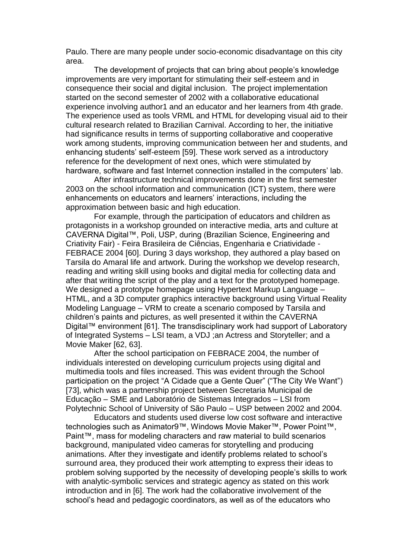Paulo. There are many people under socio-economic disadvantage on this city area.

The development of projects that can bring about people's knowledge improvements are very important for stimulating their self-esteem and in consequence their social and digital inclusion. The project implementation started on the second semester of 2002 with a collaborative educational experience involving author1 and an educator and her learners from 4th grade. The experience used as tools VRML and HTML for developing visual aid to their cultural research related to Brazilian Carnival. According to her, the initiative had significance results in terms of supporting collaborative and cooperative work among students, improving communication between her and students, and enhancing students' self-esteem [59]. These work served as a introductory reference for the development of next ones, which were stimulated by hardware, software and fast Internet connection installed in the computers' lab.

After infrastructure technical improvements done in the first semester 2003 on the school information and communication (ICT) system, there were enhancements on educators and learners' interactions, including the approximation between basic and high education.

For example, through the participation of educators and children as protagonists in a workshop grounded on interactive media, arts and culture at CAVERNA Digital™, Poli, USP, during (Brazilian Science, Engineering and Criativity Fair) - Feira Brasileira de Ciências, Engenharia e Criatividade - FEBRACE 2004 [60]. During 3 days workshop, they authored a play based on Tarsila do Amaral life and artwork. During the workshop we develop research, reading and writing skill using books and digital media for collecting data and after that writing the script of the play and a text for the prototyped homepage. We designed a prototype homepage using Hypertext Markup Language – HTML, and a 3D computer graphics interactive background using Virtual Reality Modeling Language – VRM to create a scenario composed by Tarsila and children's paints and pictures, as well presented it within the CAVERNA Digital™ environment [61]. The transdisciplinary work had support of Laboratory of Integrated Systems – LSI team, a VDJ ;an Actress and Storyteller; and a Movie Maker [62, 63].

After the school participation on FEBRACE 2004, the number of individuals interested on developing curriculum projects using digital and multimedia tools and files increased. This was evident through the School participation on the project "A Cidade que a Gente Quer" ("The City We Want") [73], which was a partnership project between Secretaria Municipal de Educação – SME and Laboratório de Sistemas Integrados – LSI from Polytechnic School of University of São Paulo – USP between 2002 and 2004.

Educators and students used diverse low cost software and interactive technologies such as Animator9™, Windows Movie Maker™, Power Point™, Paint™, mass for modeling characters and raw material to build scenarios background, manipulated video cameras for storytelling and producing animations. After they investigate and identify problems related to school's surround area, they produced their work attempting to express their ideas to problem solving supported by the necessity of developing people's skills to work with analytic-symbolic services and strategic agency as stated on this work introduction and in [6]. The work had the collaborative involvement of the school's head and pedagogic coordinators, as well as of the educators who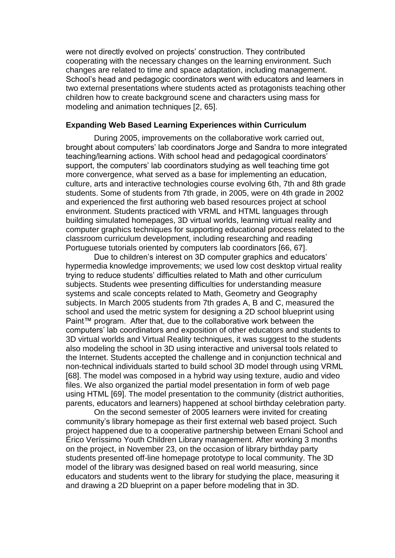were not directly evolved on projects' construction. They contributed cooperating with the necessary changes on the learning environment. Such changes are related to time and space adaptation, including management. School's head and pedagogic coordinators went with educators and learners in two external presentations where students acted as protagonists teaching other children how to create background scene and characters using mass for modeling and animation techniques [2, 65].

#### **Expanding Web Based Learning Experiences within Curriculum**

During 2005, improvements on the collaborative work carried out, brought about computers' lab coordinators Jorge and Sandra to more integrated teaching/learning actions. With school head and pedagogical coordinators' support, the computers' lab coordinators studying as well teaching time got more convergence, what served as a base for implementing an education, culture, arts and interactive technologies course evolving 6th, 7th and 8th grade students. Some of students from 7th grade, in 2005, were on 4th grade in 2002 and experienced the first authoring web based resources project at school environment. Students practiced with VRML and HTML languages through building simulated homepages, 3D virtual worlds, learning virtual reality and computer graphics techniques for supporting educational process related to the classroom curriculum development, including researching and reading Portuguese tutorials oriented by computers lab coordinators [66, 67].

Due to children's interest on 3D computer graphics and educators' hypermedia knowledge improvements; we used low cost desktop virtual reality trying to reduce students' difficulties related to Math and other curriculum subjects. Students wee presenting difficulties for understanding measure systems and scale concepts related to Math, Geometry and Geography subjects. In March 2005 students from 7th grades A, B and C, measured the school and used the metric system for designing a 2D school blueprint using Paint™ program. After that, due to the collaborative work between the computers' lab coordinators and exposition of other educators and students to 3D virtual worlds and Virtual Reality techniques, it was suggest to the students also modeling the school in 3D using interactive and universal tools related to the Internet. Students accepted the challenge and in conjunction technical and non-technical individuals started to build school 3D model through using VRML [68]. The model was composed in a hybrid way using texture, audio and video files. We also organized the partial model presentation in form of web page using HTML [69]. The model presentation to the community (district authorities, parents, educators and learners) happened at school birthday celebration party.

On the second semester of 2005 learners were invited for creating community's library homepage as their first external web based project. Such project happened due to a cooperative partnership between Ernani School and Érico Veríssimo Youth Children Library management. After working 3 months on the project, in November 23, on the occasion of library birthday party students presented off-line homepage prototype to local community. The 3D model of the library was designed based on real world measuring, since educators and students went to the library for studying the place, measuring it and drawing a 2D blueprint on a paper before modeling that in 3D.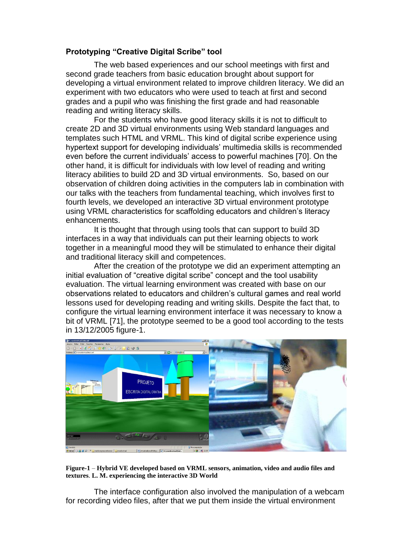## **Prototyping "Creative Digital Scribe" tool**

The web based experiences and our school meetings with first and second grade teachers from basic education brought about support for developing a virtual environment related to improve children literacy. We did an experiment with two educators who were used to teach at first and second grades and a pupil who was finishing the first grade and had reasonable reading and writing literacy skills.

For the students who have good literacy skills it is not to difficult to create 2D and 3D virtual environments using Web standard languages and templates such HTML and VRML. This kind of digital scribe experience using hypertext support for developing individuals' multimedia skills is recommended even before the current individuals' access to powerful machines [70]. On the other hand, it is difficult for individuals with low level of reading and writing literacy abilities to build 2D and 3D virtual environments. So, based on our observation of children doing activities in the computers lab in combination with our talks with the teachers from fundamental teaching, which involves first to fourth levels, we developed an interactive 3D virtual environment prototype using VRML characteristics for scaffolding educators and children's literacy enhancements.

It is thought that through using tools that can support to build 3D interfaces in a way that individuals can put their learning objects to work together in a meaningful mood they will be stimulated to enhance their digital and traditional literacy skill and competences.

After the creation of the prototype we did an experiment attempting an initial evaluation of "creative digital scribe" concept and the tool usability evaluation. The virtual learning environment was created with base on our observations related to educators and children's cultural games and real world lessons used for developing reading and writing skills. Despite the fact that, to configure the virtual learning environment interface it was necessary to know a bit of VRML [71], the prototype seemed to be a good tool according to the tests in 13/12/2005 figure-1.



**Figure-1** – **Hybrid VE developed based on VRML sensors, animation, video and audio files and textures**. **L. M. experiencing the interactive 3D World** 

The interface configuration also involved the manipulation of a webcam for recording video files, after that we put them inside the virtual environment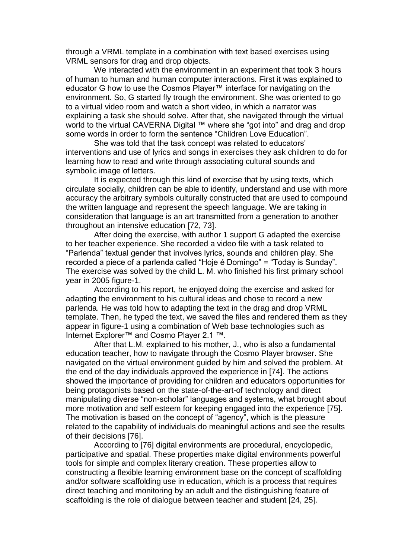through a VRML template in a combination with text based exercises using VRML sensors for drag and drop objects.

We interacted with the environment in an experiment that took 3 hours of human to human and human computer interactions. First it was explained to educator G how to use the Cosmos Player™ interface for navigating on the environment. So, G started fly trough the environment. She was oriented to go to a virtual video room and watch a short video, in which a narrator was explaining a task she should solve. After that, she navigated through the virtual world to the virtual CAVERNA Digital ™ where she "got into" and drag and drop some words in order to form the sentence "Children Love Education".

She was told that the task concept was related to educators' interventions and use of lyrics and songs in exercises they ask children to do for learning how to read and write through associating cultural sounds and symbolic image of letters.

It is expected through this kind of exercise that by using texts, which circulate socially, children can be able to identify, understand and use with more accuracy the arbitrary symbols culturally constructed that are used to compound the written language and represent the speech language. We are taking in consideration that language is an art transmitted from a generation to another throughout an intensive education [72, 73].

After doing the exercise, with author 1 support G adapted the exercise to her teacher experience. She recorded a video file with a task related to "Parlenda" textual gender that involves lyrics, sounds and children play. She recorded a piece of a parlenda called "Hoje é Domingo" = "Today is Sunday". The exercise was solved by the child L. M. who finished his first primary school year in 2005 figure-1.

According to his report, he enjoyed doing the exercise and asked for adapting the environment to his cultural ideas and chose to record a new parlenda. He was told how to adapting the text in the drag and drop VRML template. Then, he typed the text, we saved the files and rendered them as they appear in figure-1 using a combination of Web base technologies such as Internet Explorer™ and Cosmo Player 2.1 ™.

After that L.M. explained to his mother, J., who is also a fundamental education teacher, how to navigate through the Cosmo Player browser. She navigated on the virtual environment guided by him and solved the problem. At the end of the day individuals approved the experience in [74]. The actions showed the importance of providing for children and educators opportunities for being protagonists based on the state-of-the-art-of technology and direct manipulating diverse "non-scholar" languages and systems, what brought about more motivation and self esteem for keeping engaged into the experience [75]. The motivation is based on the concept of "agency", which is the pleasure related to the capability of individuals do meaningful actions and see the results of their decisions [76].

According to [76] digital environments are procedural, encyclopedic, participative and spatial. These properties make digital environments powerful tools for simple and complex literary creation. These properties allow to constructing a flexible learning environment base on the concept of scaffolding and/or software scaffolding use in education, which is a process that requires direct teaching and monitoring by an adult and the distinguishing feature of scaffolding is the role of dialogue between teacher and student [24, 25].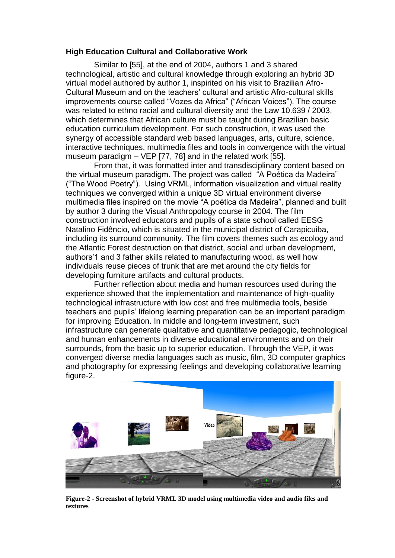#### **High Education Cultural and Collaborative Work**

Similar to [55], at the end of 2004, authors 1 and 3 shared technological, artistic and cultural knowledge through exploring an hybrid 3D virtual model authored by author 1, inspirited on his visit to Brazilian Afro-Cultural Museum and on the teachers' cultural and artistic Afro-cultural skills improvements course called "Vozes da Africa" ("African Voices"). The course was related to ethno racial and cultural diversity and the Law 10.639 / 2003, which determines that African culture must be taught during Brazilian basic education curriculum development. For such construction, it was used the synergy of accessible standard web based languages, arts, culture, science, interactive techniques, multimedia files and tools in convergence with the virtual museum paradigm – VEP [77, 78] and in the related work [55].

From that, it was formatted inter and transdisciplinary content based on the virtual museum paradigm. The project was called "A Poética da Madeira" ("The Wood Poetry"). Using VRML, information visualization and virtual reality techniques we converged within a unique 3D virtual environment diverse multimedia files inspired on the movie "A poética da Madeira", planned and built by author 3 during the Visual Anthropology course in 2004. The film construction involved educators and pupils of a state school called EESG Natalino Fidêncio, which is situated in the municipal district of Carapicuiba, including its surround community. The film covers themes such as ecology and the Atlantic Forest destruction on that district, social and urban development, authors'1 and 3 father skills related to manufacturing wood, as well how individuals reuse pieces of trunk that are met around the city fields for developing furniture artifacts and cultural products.

Further reflection about media and human resources used during the experience showed that the implementation and maintenance of high-quality technological infrastructure with low cost and free multimedia tools, beside teachers and pupils' lifelong learning preparation can be an important paradigm for improving Education. In middle and long-term investment, such infrastructure can generate qualitative and quantitative pedagogic, technological and human enhancements in diverse educational environments and on their surrounds, from the basic up to superior education. Through the VEP, it was converged diverse media languages such as music, film, 3D computer graphics and photography for expressing feelings and developing collaborative learning figure-2.



**Figure-2 - Screenshot of hybrid VRML 3D model using multimedia video and audio files and textures**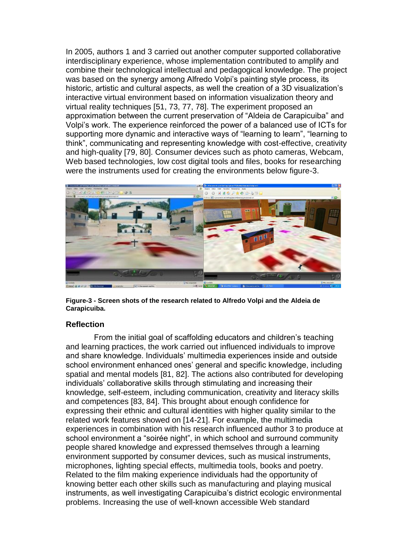In 2005, authors 1 and 3 carried out another computer supported collaborative interdisciplinary experience, whose implementation contributed to amplify and combine their technological intellectual and pedagogical knowledge. The project was based on the synergy among Alfredo Volpi's painting style process, its historic, artistic and cultural aspects, as well the creation of a 3D visualization's interactive virtual environment based on information visualization theory and virtual reality techniques [51, 73, 77, 78]. The experiment proposed an approximation between the current preservation of "Aldeia de Carapicuiba" and Volpi's work. The experience reinforced the power of a balanced use of ICTs for supporting more dynamic and interactive ways of "learning to learn", "learning to think", communicating and representing knowledge with cost-effective, creativity and high-quality [79, 80]. Consumer devices such as photo cameras, Webcam, Web based technologies, low cost digital tools and files, books for researching were the instruments used for creating the environments below figure-3.



**Figure-3 - Screen shots of the research related to Alfredo Volpi and the Aldeia de Carapicuiba.**

#### **Reflection**

From the initial goal of scaffolding educators and children's teaching and learning practices, the work carried out influenced individuals to improve and share knowledge. Individuals' multimedia experiences inside and outside school environment enhanced ones' general and specific knowledge, including spatial and mental models [81, 82]. The actions also contributed for developing individuals' collaborative skills through stimulating and increasing their knowledge, self-esteem, including communication, creativity and literacy skills and competences [83, 84]. This brought about enough confidence for expressing their ethnic and cultural identities with higher quality similar to the related work features showed on [14-21]. For example, the multimedia experiences in combination with his research influenced author 3 to produce at school environment a "soirée night", in which school and surround community people shared knowledge and expressed themselves through a learning environment supported by consumer devices, such as musical instruments, microphones, lighting special effects, multimedia tools, books and poetry. Related to the film making experience individuals had the opportunity of knowing better each other skills such as manufacturing and playing musical instruments, as well investigating Carapicuiba's district ecologic environmental problems. Increasing the use of well-known accessible Web standard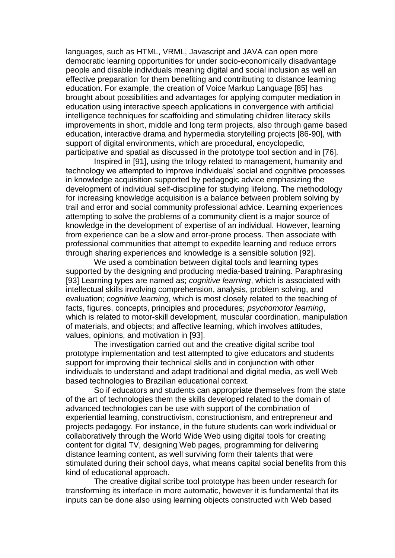languages, such as HTML, VRML, Javascript and JAVA can open more democratic learning opportunities for under socio-economically disadvantage people and disable individuals meaning digital and social inclusion as well an effective preparation for them benefiting and contributing to distance learning education. For example, the creation of Voice Markup Language [85] has brought about possibilities and advantages for applying computer mediation in education using interactive speech applications in convergence with artificial intelligence techniques for scaffolding and stimulating children literacy skills improvements in short, middle and long term projects, also through game based education, interactive drama and hypermedia storytelling projects [86-90], with support of digital environments, which are procedural, encyclopedic, participative and spatial as discussed in the prototype tool section and in [76].

Inspired in [91], using the trilogy related to management, humanity and technology we attempted to improve individuals' social and cognitive processes in knowledge acquisition supported by pedagogic advice emphasizing the development of individual self-discipline for studying lifelong. The methodology for increasing knowledge acquisition is a balance between problem solving by trail and error and social community professional advice. Learning experiences attempting to solve the problems of a community client is a major source of knowledge in the development of expertise of an individual. However, learning from experience can be a slow and error-prone process. Then associate with professional communities that attempt to expedite learning and reduce errors through sharing experiences and knowledge is a sensible solution [92].

We used a combination between digital tools and learning types supported by the designing and producing media-based training. Paraphrasing [93] Learning types are named as; *cognitive learning*, which is associated with intellectual skills involving comprehension, analysis, problem solving, and evaluation; *cognitive learning*, which is most closely related to the teaching of facts, figures, concepts, principles and procedures; *psychomotor learning*, which is related to motor-skill development, muscular coordination, manipulation of materials, and objects; and affective learning, which involves attitudes, values, opinions, and motivation in [93].

The investigation carried out and the creative digital scribe tool prototype implementation and test attempted to give educators and students support for improving their technical skills and in conjunction with other individuals to understand and adapt traditional and digital media, as well Web based technologies to Brazilian educational context.

So if educators and students can appropriate themselves from the state of the art of technologies them the skills developed related to the domain of advanced technologies can be use with support of the combination of experiential learning, constructivism, constructionism, and entrepreneur and projects pedagogy. For instance, in the future students can work individual or collaboratively through the World Wide Web using digital tools for creating content for digital TV, designing Web pages, programming for delivering distance learning content, as well surviving form their talents that were stimulated during their school days, what means capital social benefits from this kind of educational approach.

The creative digital scribe tool prototype has been under research for transforming its interface in more automatic, however it is fundamental that its inputs can be done also using learning objects constructed with Web based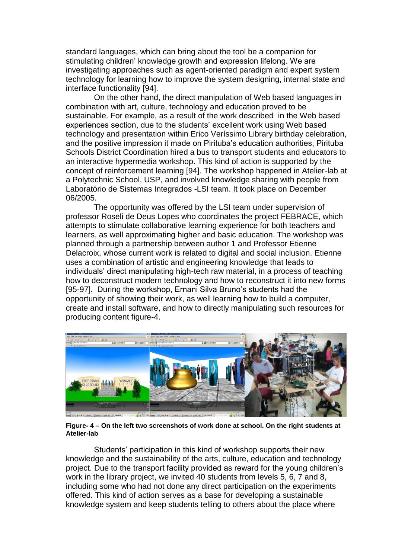standard languages, which can bring about the tool be a companion for stimulating children' knowledge growth and expression lifelong. We are investigating approaches such as agent-oriented paradigm and expert system technology for learning how to improve the system designing, internal state and interface functionality [94].

On the other hand, the direct manipulation of Web based languages in combination with art, culture, technology and education proved to be sustainable. For example, as a result of the work described in the Web based experiences section, due to the students' excellent work using Web based technology and presentation within Erico Veríssimo Library birthday celebration, and the positive impression it made on Pirituba's education authorities, Pirituba Schools District Coordination hired a bus to transport students and educators to an interactive hypermedia workshop. This kind of action is supported by the concept of reinforcement learning [94]. The workshop happened in Atelier-lab at a Polytechnic School, USP, and involved knowledge sharing with people from Laboratório de Sistemas Integrados -LSI team. It took place on December 06/2005.

The opportunity was offered by the LSI team under supervision of professor Roseli de Deus Lopes who coordinates the project FEBRACE, which attempts to stimulate collaborative learning experience for both teachers and learners, as well approximating higher and basic education. The workshop was planned through a partnership between author 1 and Professor Etienne Delacroix, whose current work is related to digital and social inclusion. Etienne uses a combination of artistic and engineering knowledge that leads to individuals' direct manipulating high-tech raw material, in a process of teaching how to deconstruct modern technology and how to reconstruct it into new forms [95-97]. During the workshop, Ernani Silva Bruno's students had the opportunity of showing their work, as well learning how to build a computer, create and install software, and how to directly manipulating such resources for producing content figure-4.



**Figure- 4 – On the left two screenshots of work done at school. On the right students at Atelier-lab**

Students' participation in this kind of workshop supports their new knowledge and the sustainability of the arts, culture, education and technology project. Due to the transport facility provided as reward for the young children's work in the library project, we invited 40 students from levels 5, 6, 7 and 8, including some who had not done any direct participation on the experiments offered. This kind of action serves as a base for developing a sustainable knowledge system and keep students telling to others about the place where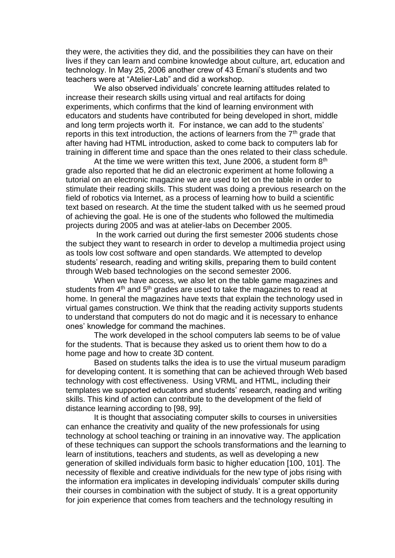they were, the activities they did, and the possibilities they can have on their lives if they can learn and combine knowledge about culture, art, education and technology. In May 25, 2006 another crew of 43 Ernani's students and two teachers were at "Atelier-Lab" and did a workshop.

We also observed individuals' concrete learning attitudes related to increase their research skills using virtual and real artifacts for doing experiments, which confirms that the kind of learning environment with educators and students have contributed for being developed in short, middle and long term projects worth it. For instance, we can add to the students' reports in this text introduction, the actions of learners from the  $7<sup>th</sup>$  grade that after having had HTML introduction, asked to come back to computers lab for training in different time and space than the ones related to their class schedule.

At the time we were written this text, June 2006, a student form  $8<sup>th</sup>$ grade also reported that he did an electronic experiment at home following a tutorial on an electronic magazine we are used to let on the table in order to stimulate their reading skills. This student was doing a previous research on the field of robotics via Internet, as a process of learning how to build a scientific text based on research. At the time the student talked with us he seemed proud of achieving the goal. He is one of the students who followed the multimedia projects during 2005 and was at atelier-labs on December 2005.

In the work carried out during the first semester 2006 students chose the subject they want to research in order to develop a multimedia project using as tools low cost software and open standards. We attempted to develop students' research, reading and writing skills, preparing them to build content through Web based technologies on the second semester 2006.

When we have access, we also let on the table game magazines and students from  $4<sup>th</sup>$  and  $5<sup>th</sup>$  grades are used to take the magazines to read at home. In general the magazines have texts that explain the technology used in virtual games construction. We think that the reading activity supports students to understand that computers do not do magic and it is necessary to enhance ones' knowledge for command the machines.

The work developed in the school computers lab seems to be of value for the students. That is because they asked us to orient them how to do a home page and how to create 3D content.

Based on students talks the idea is to use the virtual museum paradigm for developing content. It is something that can be achieved through Web based technology with cost effectiveness. Using VRML and HTML, including their templates we supported educators and students' research, reading and writing skills. This kind of action can contribute to the development of the field of distance learning according to [98, 99].

It is thought that associating computer skills to courses in universities can enhance the creativity and quality of the new professionals for using technology at school teaching or training in an innovative way. The application of these techniques can support the schools transformations and the learning to learn of institutions, teachers and students, as well as developing a new generation of skilled individuals form basic to higher education [100, 101]. The necessity of flexible and creative individuals for the new type of jobs rising with the information era implicates in developing individuals' computer skills during their courses in combination with the subject of study. It is a great opportunity for join experience that comes from teachers and the technology resulting in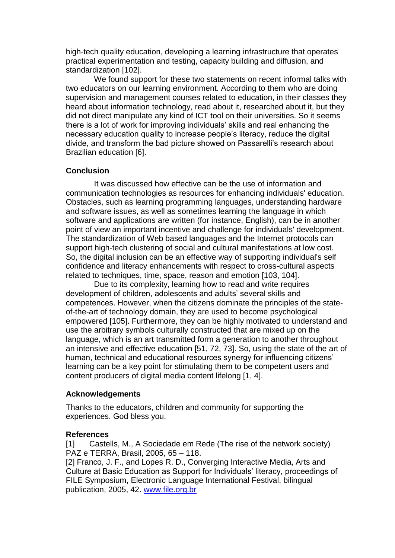high-tech quality education, developing a learning infrastructure that operates practical experimentation and testing, capacity building and diffusion, and standardization [102].

We found support for these two statements on recent informal talks with two educators on our learning environment. According to them who are doing supervision and management courses related to education, in their classes they heard about information technology, read about it, researched about it, but they did not direct manipulate any kind of ICT tool on their universities. So it seems there is a lot of work for improving individuals' skills and real enhancing the necessary education quality to increase people's literacy, reduce the digital divide, and transform the bad picture showed on Passarelli's research about Brazilian education [6].

#### **Conclusion**

It was discussed how effective can be the use of information and communication technologies as resources for enhancing individuals' education. Obstacles, such as learning programming languages, understanding hardware and software issues, as well as sometimes learning the language in which software and applications are written (for instance, English), can be in another point of view an important incentive and challenge for individuals' development. The standardization of Web based languages and the Internet protocols can support high-tech clustering of social and cultural manifestations at low cost. So, the digital inclusion can be an effective way of supporting individual's self confidence and literacy enhancements with respect to cross-cultural aspects related to techniques, time, space, reason and emotion [103, 104].

Due to its complexity, learning how to read and write requires development of children, adolescents and adults' several skills and competences. However, when the citizens dominate the principles of the stateof-the-art of technology domain, they are used to become psychological empowered [105]. Furthermore, they can be highly motivated to understand and use the arbitrary symbols culturally constructed that are mixed up on the language, which is an art transmitted form a generation to another throughout an intensive and effective education [51, 72, 73]. So, using the state of the art of human, technical and educational resources synergy for influencing citizens' learning can be a key point for stimulating them to be competent users and content producers of digital media content lifelong [1, 4].

## **Acknowledgements**

Thanks to the educators, children and community for supporting the experiences. God bless you.

## **References**

[1] Castells, M., A Sociedade em Rede (The rise of the network society) PAZ e TERRA, Brasil, 2005, 65 – 118.

[2] Franco, J. F., and Lopes R. D., Converging Interactive Media, Arts and Culture at Basic Education as Support for Individuals' literacy, proceedings of FILE Symposium, Electronic Language International Festival, bilingual publication, 2005, 42. [www.file.org.br](http://www.file.org.br/)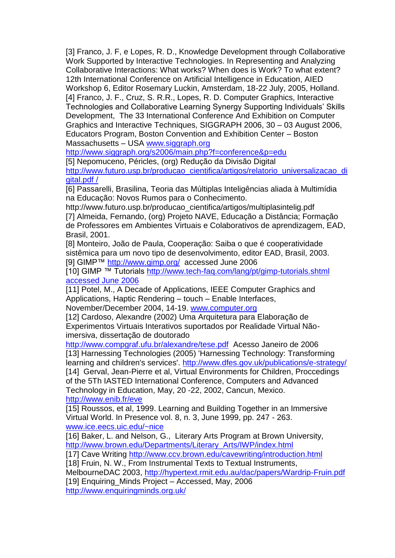[3] Franco, J. F, e Lopes, R. D., Knowledge Development through Collaborative Work Supported by Interactive Technologies. In Representing and Analyzing Collaborative Interactions: What works? When does is Work? To what extent? 12th International Conference on Artificial Intelligence in Education, AIED Workshop 6, Editor Rosemary Luckin, Amsterdam, 18-22 July, 2005, Holland. [4] Franco, J. F., Cruz, S. R.R., Lopes, R. D. Computer Graphics, Interactive Technologies and Collaborative Learning Synergy Supporting Individuals' Skills Development, The 33 International Conference And Exhibition on Computer Graphics and Interactive Techniques, SIGGRAPH 2006, 30 – 03 August 2006, Educators Program, Boston Convention and Exhibition Center – Boston Massachusetts – USA www.siggraph.org

<http://www.siggraph.org/s2006/main.php?f=conference&p=edu>

[5] Nepomuceno, Péricles, (org) Redução da Divisão Digital

[http://www.futuro.usp.br/producao\\_cientifica/artigos/relatorio\\_universalizacao\\_di](http://www.futuro.usp.br/producao_cientifica/artigos/relatorio_universalizacao_digital.pdf%20/) [gital.pdf /](http://www.futuro.usp.br/producao_cientifica/artigos/relatorio_universalizacao_digital.pdf%20/)

[6] Passarelli, Brasilina, Teoria das Múltiplas Inteligências aliada à Multimídia na Educação: Novos Rumos para o Conhecimento.

http://www.futuro.usp.br/producao\_cientifica/artigos/multiplasintelig.pdf [7] Almeida, Fernando, (org) Projeto NAVE, Educação a Distância; Formação de Professores em Ambientes Virtuais e Colaborativos de aprendizagem, EAD, Brasil, 2001.

[8] Monteiro, João de Paula, Cooperação: Saiba o que é cooperatividade sistêmica para um novo tipo de desenvolvimento, editor EAD, Brasil, 2003. [9] GIMP™<http://www.gimp.org/>accessed June 2006

[10] GIMP ™ Tutorials [http://www.tech-faq.com/lang/pt/gimp-tutorials.shtml](http://www.tech-faq.com/lang/pt/gimp-tutorials.shtml%20accessed%20June%202006)  [accessed June 2006](http://www.tech-faq.com/lang/pt/gimp-tutorials.shtml%20accessed%20June%202006)

[11] Potel, M., A Decade of Applications, IEEE Computer Graphics and Applications, Haptic Rendering – touch – Enable Interfaces, November/December 2004, 14-19. [www.computer.org](http://www.computer.org/)

[12] Cardoso, Alexandre (2002) Uma Arquitetura para Elaboração de Experimentos Virtuais Interativos suportados por Realidade Virtual Nãoimersiva, dissertação de doutorado

<http://www.compgraf.ufu.br/alexandre/tese.pdf>Acesso Janeiro de 2006 [13] Harnessing Technologies (2005) 'Harnessing Technology: Transforming learning and children's services'.<http://www.dfes.gov.uk/publications/e-strategy/>

[14] Gerval, Jean-Pierre et al, Virtual Environments for Children, Proccedings of the 5Th IASTED International Conference, Computers and Advanced Technology in Education, May, 20 -22, 2002, Cancun, Mexico. <http://www.enib.fr/eve>

[15] Roussos, et al, 1999. Learning and Building Together in an Immersive Virtual World. In Presence vol. 8, n. 3, June 1999, pp. 247 - 263.

[www.ice.eecs.uic.edu/~nice](http://www.ice.eecs.uic.edu/~nice)

[16] Baker, L. and Nelson, G., Literary Arts Program at Brown University, [http://www.brown.edu/Departments/Literary\\_Arts/IWP/index.html](http://www.brown.edu/Departments/Literary_Arts/IWP/index.html)

[17] Cave Writing<http://www.ccv.brown.edu/cavewriting/introduction.html> [18] Fruin, N. W., From Instrumental Texts to Textual Instruments,

MelbourneDAC 2003,<http://hypertext.rmit.edu.au/dac/papers/Wardrip-Fruin.pdf>

[19] Enquiring\_Minds Project – Accessed, May, 2006 <http://www.enquiringminds.org.uk/>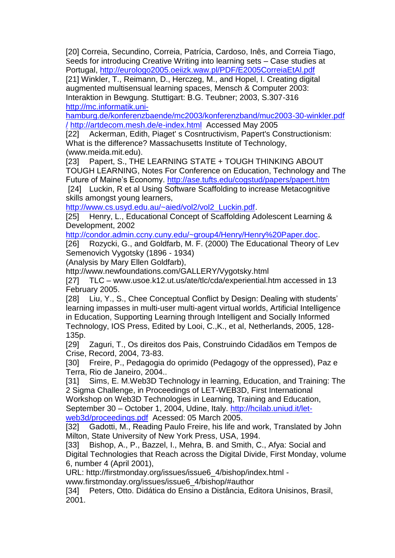[20] Correia, Secundino, Correia, Patrícia, Cardoso, Inês, and Correia Tiago, Seeds for introducing Creative Writing into learning sets – Case studies at Portugal,<http://eurologo2005.oeiizk.waw.pl/PDF/E2005CorreiaEtAl.pdf>

[21] Winkler, T., Reimann, D., Herczeg, M., and Hopel, I. Creating digital augmented multisensual learning spaces, Mensch & Computer 2003: Interaktion in Bewgung. Stuttigart: B.G. Teubner; 2003, S.307-316 [http://mc.informatik.uni-](http://mc.informatik.uni-hamburg.de/konferenzbaende/mc2003/konferenzband/muc2003-30-winkler.pdf%20/)

[hamburg.de/konferenzbaende/mc2003/konferenzband/muc2003-30-winkler.pdf](http://mc.informatik.uni-hamburg.de/konferenzbaende/mc2003/konferenzband/muc2003-30-winkler.pdf%20/)  [/](http://mc.informatik.uni-hamburg.de/konferenzbaende/mc2003/konferenzband/muc2003-30-winkler.pdf%20/) <http://artdecom.mesh.de/e-index.html>Accessed May 2005

[22] Ackerman, Edith, Piaget' s Cosntructivism, Papert's Constructionism: What is the difference? Massachusetts Institute of Technology, (www.meida.mit.edu).

[23] Papert, S., THE LEARNING STATE + TOUGH THINKING ABOUT TOUGH LEARNING, Notes For Conference on Education, Technology and The Future of Maine's Economy.<http://ase.tufts.edu/cogstud/papers/papert.htm>

[24] Luckin, R et al Using Software Scaffolding to increase Metacognitive skills amongst young learners,

[http://www.cs.usyd.edu.au/~aied/vol2/vol2\\_Luckin.pdf.](http://www.cs.usyd.edu.au/~aied/vol2/vol2_Luckin.pdf)

[25] Henry, L., Educational Concept of Scaffolding Adolescent Learning & Development, 2002

[http://condor.admin.ccny.cuny.edu/~group4/Henry/Henry%20Paper.doc.](http://condor.admin.ccny.cuny.edu/~group4/Henry/Henry%20Paper.doc)

[26] Rozycki, G., and Goldfarb, M. F. (2000) The Educational Theory of Lev Semenovich Vygotsky (1896 - 1934)

(Analysis by Mary Ellen Goldfarb),

http://www.newfoundations.com/GALLERY/Vygotsky.html

[27] TLC – www.usoe.k12.ut.us/ate/tlc/cda/experiential.htm accessed in 13 February 2005.

[28] Liu, Y., S., Chee Conceptual Conflict by Design: Dealing with students' learning impasses in multi-user multi-agent virtual worlds, Artificial Intelligence in Education, Supporting Learning through Intelligent and Socially Informed Technology, IOS Press, Edited by Looi, C.,K., et al, Netherlands, 2005, 128- 135p.

[29] Zaguri, T., Os direitos dos Pais, Construindo Cidadãos em Tempos de Crise, Record, 2004, 73-83.

[30] Freire, P., Pedagogia do oprimido (Pedagogy of the oppressed), Paz e Terra, Rio de Janeiro, 2004..

[31] Sims, E. M.Web3D Technology in learning, Education, and Training: The 2 Sigma Challenge, in Proceedings of LET-WEB3D, First International Workshop on Web3D Technologies in Learning, Training and Education, September 30 – October 1, 2004, Udine, Italy. [http://hcilab.uniud.it/let](http://hcilab.uniud.it/let-web3d/proceedings.pdf)[web3d/proceedings.pdf](http://hcilab.uniud.it/let-web3d/proceedings.pdf) Acessed: 05 March 2005.

[32] Gadotti, M., Reading Paulo Freire, his life and work, Translated by John Milton, State University of New York Press, USA, 1994.

[33] Bishop, A., P., Bazzel, I., Mehra, B. and Smith, C., Afya: Social and Digital Technologies that Reach across the Digital Divide, First Monday, volume 6, number 4 (April 2001),

URL: http://firstmonday.org/issues/issue6\_4/bishop/index.html -

www.firstmonday.org/issues/issue6\_4/bishop/#author

[34] Peters, Otto. Didática do Ensino a Distância, Editora Unisinos, Brasil, 2001.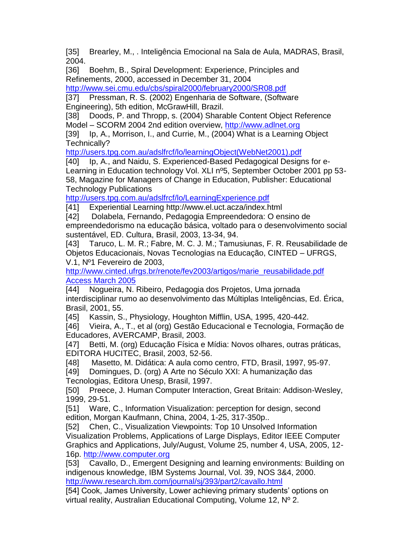[35] Brearley, M., . Inteligência Emocional na Sala de Aula, MADRAS, Brasil, 2004.

[36] Boehm, B., Spiral Development: Experience, Principles and Refinements, 2000, accessed in December 31, 2004

<http://www.sei.cmu.edu/cbs/spiral2000/february2000/SR08.pdf>

[37] Pressman, R. S. (2002) Engenharia de Software, (Software Engineering), 5th edition, McGrawHill, Brazil.

[38] Doods, P. and Thropp, s. (2004) Sharable Content Object Reference Model – SCORM 2004 2nd edition overview, [http://www.adlnet.org](http://www.adlnet.org/)

[39] Ip, A., Morrison, I., and Currie, M., (2004) What is a Learning Object Technically?

[http://users.tpg.com.au/adslfrcf/lo/learningObject\(WebNet2001\).pdf](http://users.tpg.com.au/adslfrcf/lo/learningObject(WebNet2001).pdf)

[40] Ip, A., and Naidu, S. Experienced-Based Pedagogical Designs for e-Learning in Education technology Vol. XLI nº5, September October 2001 pp 53- 58, Magazine for Managers of Change in Education, Publisher: Educational Technology Publications

<http://users.tpg.com.au/adslfrcf/lo/LearningExperience.pdf>

[41] Experiential Learning http://www.el.uct.acza/index.html

[42] Dolabela, Fernando, Pedagogia Empreendedora: O ensino de empreendedorismo na educação básica, voltado para o desenvolvimento social sustentável, ED. Cultura, Brasil, 2003, 13-34, 94.

[43] Taruco, L. M. R.; Fabre, M. C. J. M.; Tamusiunas, F. R. Reusabilidade de Objetos Educacionais, Novas Tecnologias na Educação, CINTED – UFRGS, V.1, Nº1 Fevereiro de 2003,

http://www.cinted.ufrgs.br/renote/fev2003/artigos/marie\_reusabilidade.pdf [Access March 2005](http://www.cinted.ufrgs.br/renote/fev2003/artigos/marie_reusabilidade.pdf%20Access%20March%202005)

[44] Nogueira, N. Ribeiro, Pedagogia dos Projetos, Uma jornada interdisciplinar rumo ao desenvolvimento das Múltiplas Inteligências, Ed. Érica, Brasil, 2001, 55.

[45] Kassin, S., Physiology, Houghton Mifflin, USA, 1995, 420-442.

[46] Vieira, A., T., et al (org) Gestão Educacional e Tecnologia, Formação de Educadores, AVERCAMP, Brasil, 2003.

[47] Betti, M. (org) Educação Física e Mídia: Novos olhares, outras práticas, EDITORA HUCITEC, Brasil, 2003, 52-56.

[48] Masetto, M. Didática: A aula como centro, FTD, Brasil, 1997, 95-97.

[49] Domingues, D. (org) A Arte no Século XXI: A humanização das Tecnologias, Editora Unesp, Brasil, 1997.

[50] Preece, J. Human Computer Interaction, Great Britain: Addison-Wesley, 1999, 29-51.

[51] Ware, C., Information Visualization: perception for design, second edition, Morgan Kaufmann, China, 2004, 1-25, 317-350p..

[52] Chen, C., Visualization Viewpoints: Top 10 Unsolved Information Visualization Problems, Applications of Large Displays, Editor IEEE Computer Graphics and Applications, July/August, Volume 25, number 4, USA, 2005, 12- 16p. [http://www.computer.org](http://www.computer.org/)

[53] Cavallo, D., Emergent Designing and learning environments: Building on indigenous knowledge, IBM Systems Journal, Vol. 39, NOS 3&4, 2000. <http://www.research.ibm.com/journal/sj/393/part2/cavallo.html>

[54] Cook, James University, Lower achieving primary students' options on virtual reality, Australian Educational Computing, Volume 12, Nº 2.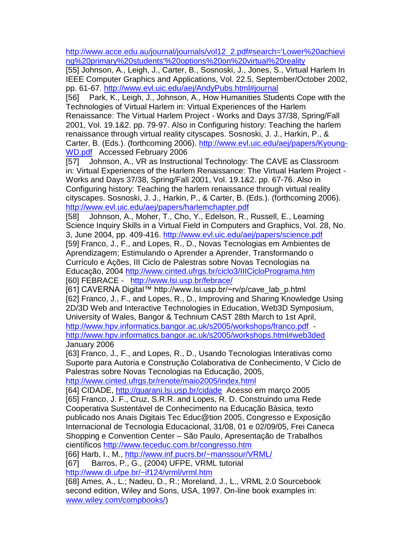[http://www.acce.edu.au/journal/journals/vol12\\_2.pdf#search='Lower%20achievi](http://www.acce.edu.au/journal/journals/vol12_2.pdf#search=) [ng%20primary%20students'%20options%20on%20virtual%20reality](http://www.acce.edu.au/journal/journals/vol12_2.pdf#search=)

[55] Johnson, A., Leigh, J., Carter, B., Sosnoski, J., Jones, S., Virtual Harlem In IEEE Computer Graphics and Applications, Vol. 22.5, September/October 2002, pp. 61-67.<http://www.evl.uic.edu/aej/AndyPubs.html#journal>

[56] Park, K., Leigh, J., Johnson, A., How Humanities Students Cope with the Technologies of Virtual Harlem in: Virtual Experiences of the Harlem Renaissance: The Virtual Harlem Project - Works and Days 37/38, Spring/Fall 2001, Vol. 19.1&2. pp. 79-97. Also in Configuring history: Teaching the harlem renaissance through virtual reality cityscapes. Sosnoski, J. J., Harkin, P., & Carter, B. (Eds.). (forthcoming 2006). [http://www.evl.uic.edu/aej/papers/Kyoung-](http://www.evl.uic.edu/aej/papers/Kyoung-WD.pdf)

[WD.pdf](http://www.evl.uic.edu/aej/papers/Kyoung-WD.pdf) Accessed February 2006

[57] Johnson, A., VR as Instructional Technology: The CAVE as Classroom in: Virtual Experiences of the Harlem Renaissance: The Virtual Harlem Project - Works and Days 37/38, Spring/Fall 2001, Vol. 19.1&2. pp. 67-76. Also in Configuring history: Teaching the harlem renaissance through virtual reality cityscapes. Sosnoski, J. J., Harkin, P., & Carter, B. (Eds.). (forthcoming 2006). <http://www.evl.uic.edu/aej/papers/harlemchapter.pdf>

[58] Johnson, A., Moher, T., Cho, Y., Edelson, R., Russell, E., Learning Science Inquiry Skills in a Virtual Field in Computers and Graphics, Vol. 28, No. 3, June 2004, pp. 409-416.<http://www.evl.uic.edu/aej/papers/science.pdf>

[59] Franco, J., F., and Lopes, R., D., Novas Tecnologias em Ambientes de Aprendizagem; Estimulando o Aprender a Aprender, Transformando o Currículo e Ações, III Ciclo de Palestras sobre Novas Tecnologias na Educação, 2004<http://www.cinted.ufrgs.br/ciclo3/IIICicloPrograma.htm> [60] FEBRACE - <http://www.lsi.usp.br/febrace/>

[61] CAVERNA Digital™ http://www.lsi.usp.br/~rv/p/cave\_lab\_p.html [62] Franco, J., F., and Lopes, R., D., Improving and Sharing Knowledge Using 2D/3D Web and Interactive Technologies in Education, Web3D Symposium, University of Wales, Bangor & Technium CAST 28th March to 1st April, <http://www.hpv.informatics.bangor.ac.uk/s2005/workshops/franco.pdf> <http://www.hpv.informatics.bangor.ac.uk/s2005/workshops.html#web3ded>

January 2006

[63] Franco, J., F., and Lopes, R., D., Usando Tecnologias Interativas como Suporte para Autoria e Construção Colaborativa de Conhecimento, V Ciclo de Palestras sobre Novas Tecnologias na Educação, 2005,

<http://www.cinted.ufrgs.br/renote/maio2005/index.html>

[64] CIDADE,<http://guarani.lsi.usp.br/cidade>Acesso em março 2005 [65] Franco, J. F., Cruz, S.R.R. and Lopes, R. D. Construindo uma Rede Cooperativa Sustentável de Conhecimento na Educação Básica, texto publicado nos Anais Digitais Tec Educ@tion 2005, Congresso e Exposição Internacional de Tecnologia Educacional, 31/08, 01 e 02/09/05, Frei Caneca Shopping e Convention Center – São Paulo, Apresentação de Trabalhos científicos<http://www.teceduc.com.br/congresso.htm>

[66] Harb, I., M.,<http://www.inf.pucrs.br/~manssour/VRML/> [67] Barros, P., G., (2004) UFPE, VRML tutorial

<http://www.di.ufpe.br/~if124/vrml/vrml.htm>

[68] Ames, A., L.; Nadeu, D., R.; Moreland, J., L., VRML 2.0 Sourcebook second edition, Wiley and Sons, USA, 1997. On-line book examples in: [www.wiley.com/compbooks/\)](http://www.wiley.com/compbooks/)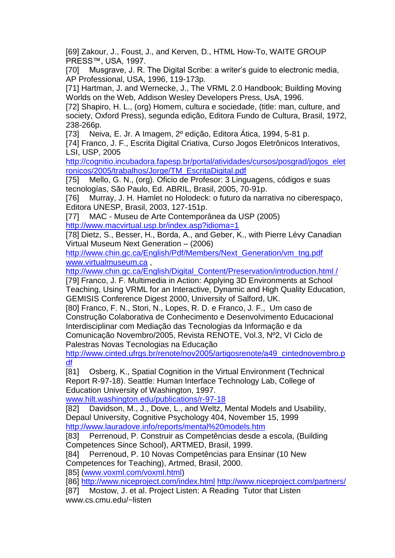[69] Zakour, J., Foust, J., and Kerven, D., HTML How-To, WAITE GROUP PRESS™, USA, 1997.

[70] Musgrave, J. R. The Digital Scribe: a writer's quide to electronic media, AP Professional, USA, 1996, 119-173p.

[71] Hartman, J. and Wernecke, J., The VRML 2.0 Handbook; Building Moving Worlds on the Web, Addison Wesley Developers Press, UsA, 1996.

[72] Shapiro, H. L., (org) Homem, cultura e sociedade, (title: man, culture, and society, Oxford Press), segunda edição, Editora Fundo de Cultura, Brasil, 1972, 238-266p.

[73] Neiva, E. Jr. A Imagem, 2º edição, Editora Ática, 1994, 5-81 p.

[74] Franco, J. F., Escrita Digital Criativa, Curso Jogos Eletrônicos Interativos, LSI, USP, 2005

[http://cognitio.incubadora.fapesp.br/portal/atividades/cursos/posgrad/jogos\\_elet](http://cognitio.incubadora.fapesp.br/portal/atividades/cursos/posgrad/jogos_eletronicos/2005/trabalhos/Jorge/TM_EscritaDigital.pdf) [ronicos/2005/trabalhos/Jorge/TM\\_EscritaDigital.pdf](http://cognitio.incubadora.fapesp.br/portal/atividades/cursos/posgrad/jogos_eletronicos/2005/trabalhos/Jorge/TM_EscritaDigital.pdf)

[75] Mello, G. N., (org). Oficio de Profesor: 3 Linguagens, códigos e suas tecnologías, São Paulo, Ed. ABRIL, Brasil, 2005, 70-91p.

[76] Murray, J. H. Hamlet no Holodeck: o futuro da narrativa no ciberespaço, Editora UNESP, Brasil, 2003, 127-151p.

[77] MAC - Museu de Arte Contemporânea da USP (2005) <http://www.macvirtual.usp.br/index.asp?idioma=1>

[78] Dietz, S., Besser, H., Borda, A., and Geber, K., with Pierre Lévy Canadian Virtual Museum Next Generation – (2006)

[http://www.chin.gc.ca/English/Pdf/Members/Next\\_Generation/vm\\_tng.pdf](http://www.chin.gc.ca/English/Pdf/Members/Next_Generation/vm_tng.pdf)  [www.virtualmuseum.ca](http://www.virtualmuseum.ca/) ,

[http://www.chin.gc.ca/English/Digital\\_Content/Preservation/introduction.html /](http://www.chin.gc.ca/English/Digital_Content/Preservation/introduction.html%20/)

[79] Franco, J. F. Multimedia in Action: Applying 3D Environments at School Teaching, Using VRML for an Interactive, Dynamic and High Quality Education, GEMISIS Conference Digest 2000, University of Salford, UK.

[80] Franco, F. N., Stori, N., Lopes, R. D. e Franco, J. F., Um caso de Construção Colaborativa de Conhecimento e Desenvolvimento Educacional Interdisciplinar com Mediação das Tecnologias da Informação e da Comunicação Novembro/2005, Revista RENOTE, Vol.3, Nº2, VI Ciclo de Palestras Novas Tecnologias na Educação

[http://www.cinted.ufrgs.br/renote/nov2005/artigosrenote/a49\\_cintednovembro.p](http://www.cinted.ufrgs.br/renote/nov2005/artigosrenote/a49_cintednovembro.pdf) [df](http://www.cinted.ufrgs.br/renote/nov2005/artigosrenote/a49_cintednovembro.pdf)

[81] Osberg, K., Spatial Cognition in the Virtual Environment (Technical Report R-97-18). Seattle: Human Interface Technology Lab, College of Education University of Washington, 1997.

[www.hilt.washington.edu/publications/r-97-18](http://www.hilt.washington.edu/publications/r-97-18) 

[82] Davidson, M., J., Dove, L., and Weltz, Mental Models and Usability, Depaul University, Cognitive Psychology 404, November 15, 1999 <http://www.lauradove.info/reports/mental%20models.htm>

[83] Perrenoud, P. Construir as Competências desde a escola, (Building Competences Since School), ARTMED, Brasil, 1999.

[84] Perrenoud, P. 10 Novas Competências para Ensinar (10 New Competences for Teaching), Artmed, Brasil, 2000.

[85] [\(www.voxml.com/voxml.html\)](http://www.voxml.com/voxml.html)

[86]<http://www.niceproject.com/index.html> <http://www.niceproject.com/partners/>

[87] Mostow, J. et al. Project Listen: A Reading Tutor that Listen www.cs.cmu.edu/~listen